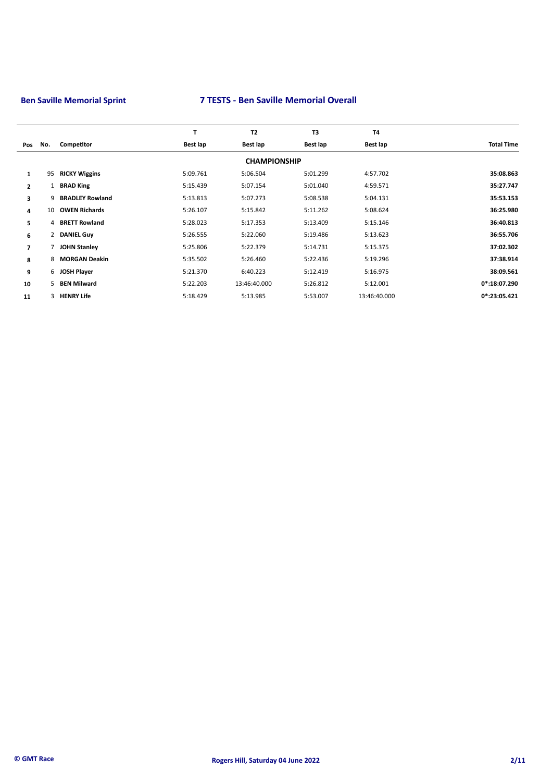|                |              |                        | т        | T <sub>2</sub>      | T3       | <b>T4</b>    |                   |
|----------------|--------------|------------------------|----------|---------------------|----------|--------------|-------------------|
| Pos            | No.          | Competitor             | Best lap | Best lap            | Best lap | Best lap     | <b>Total Time</b> |
|                |              |                        |          | <b>CHAMPIONSHIP</b> |          |              |                   |
| $\mathbf{1}$   | 95           | <b>RICKY Wiggins</b>   | 5:09.761 | 5:06.504            | 5:01.299 | 4:57.702     | 35:08.863         |
| $\overline{2}$ | $\mathbf{1}$ | <b>BRAD King</b>       | 5:15.439 | 5:07.154            | 5:01.040 | 4:59.571     | 35:27.747         |
| 3              | 9.           | <b>BRADLEY Rowland</b> | 5:13.813 | 5:07.273            | 5:08.538 | 5:04.131     | 35:53.153         |
| 4              | 10           | <b>OWEN Richards</b>   | 5:26.107 | 5:15.842            | 5:11.262 | 5:08.624     | 36:25.980         |
| 5              |              | 4 BRETT Rowland        | 5:28.023 | 5:17.353            | 5:13.409 | 5:15.146     | 36:40.813         |
| 6              |              | 2 DANIEL Guy           | 5:26.555 | 5:22.060            | 5:19.486 | 5:13.623     | 36:55.706         |
| $\overline{ }$ |              | <b>JOHN Stanley</b>    | 5:25.806 | 5:22.379            | 5:14.731 | 5:15.375     | 37:02.302         |
| 8              | 8            | <b>MORGAN Deakin</b>   | 5:35.502 | 5:26.460            | 5:22.436 | 5:19.296     | 37:38.914         |
| 9              |              | 6 JOSH Player          | 5:21.370 | 6:40.223            | 5:12.419 | 5:16.975     | 38:09.561         |
| 10             | $5 -$        | <b>BEN Milward</b>     | 5:22.203 | 13:46:40.000        | 5:26.812 | 5:12.001     | $0*:18:07.290$    |
| 11             |              | 3 HENRY Life           | 5:18.429 | 5:13.985            | 5:53.007 | 13:46:40.000 | $0*$ :23:05.421   |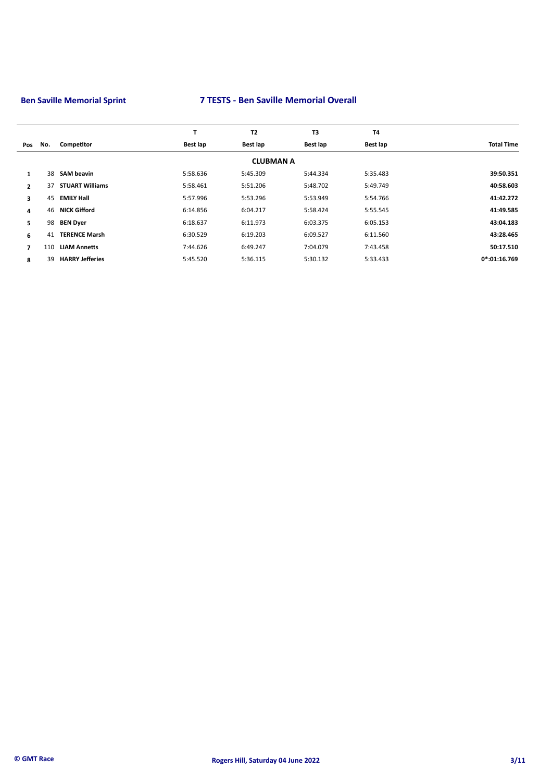|     |                        | т        | T2       | T3       | <b>T4</b>        |                   |
|-----|------------------------|----------|----------|----------|------------------|-------------------|
| No. | Competitor             | Best lap | Best lap | Best lap | Best lap         | <b>Total Time</b> |
|     |                        |          |          |          |                  |                   |
|     | <b>SAM beavin</b>      | 5:58.636 | 5:45.309 | 5:44.334 | 5:35.483         | 39:50.351         |
| 37  | <b>STUART Williams</b> | 5:58.461 | 5:51.206 | 5:48.702 | 5:49.749         | 40:58.603         |
| 45  | <b>EMILY Hall</b>      | 5:57.996 | 5:53.296 | 5:53.949 | 5:54.766         | 41:42.272         |
|     | <b>NICK Gifford</b>    | 6:14.856 | 6:04.217 | 5:58.424 | 5:55.545         | 41:49.585         |
| 98  | <b>BEN Dyer</b>        | 6:18.637 | 6:11.973 | 6:03.375 | 6:05.153         | 43:04.183         |
| 41  | <b>TERENCE Marsh</b>   | 6:30.529 | 6:19.203 | 6:09.527 | 6:11.560         | 43:28.465         |
| 110 | <b>LIAM Annetts</b>    | 7:44.626 | 6:49.247 | 7:04.079 | 7:43.458         | 50:17.510         |
| 39  | <b>HARRY Jefferies</b> | 5:45.520 | 5:36.115 | 5:30.132 | 5:33.433         | $0*:01:16.769$    |
|     |                        | 38<br>46 |          |          | <b>CLUBMAN A</b> |                   |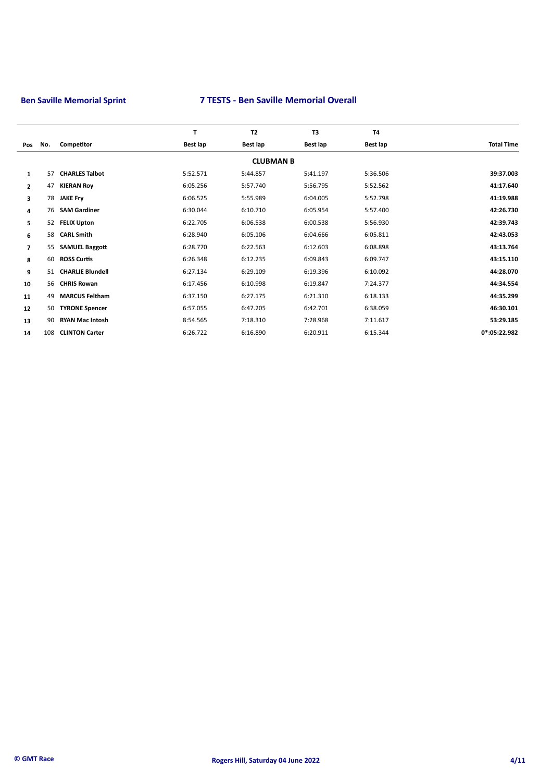| No. | Competitor              | Best lap | Best lap | Best lap  | Best lap               | <b>Total Time</b> |
|-----|-------------------------|----------|----------|-----------|------------------------|-------------------|
|     |                         |          |          |           |                        |                   |
| 57  | <b>CHARLES Talbot</b>   | 5:52.571 | 5:44.857 | 5:41.197  | 5:36.506               | 39:37.003         |
| 47  | <b>KIERAN Roy</b>       | 6:05.256 | 5:57.740 | 5:56.795  | 5:52.562               | 41:17.640         |
| 78  | <b>JAKE Fry</b>         | 6:06.525 | 5:55.989 | 6:04.005  | 5:52.798               | 41:19.988         |
| 76  | <b>SAM Gardiner</b>     | 6:30.044 | 6:10.710 | 6:05.954  | 5:57.400               | 42:26.730         |
| 52  | <b>FELIX Upton</b>      | 6:22.705 | 6:06.538 | 6:00.538  | 5:56.930               | 42:39.743         |
| 58  | <b>CARL Smith</b>       | 6:28.940 | 6:05.106 | 6:04.666  | 6:05.811               | 42:43.053         |
| 55  | <b>SAMUEL Baggott</b>   | 6:28.770 | 6:22.563 | 6:12.603  | 6:08.898               | 43:13.764         |
| 60  | <b>ROSS Curtis</b>      | 6:26.348 | 6:12.235 | 6:09.843  | 6:09.747               | 43:15.110         |
|     | <b>CHARLIE Blundell</b> | 6:27.134 | 6:29.109 | 6:19.396  | 6:10.092               | 44:28.070         |
|     | <b>CHRIS Rowan</b>      | 6:17.456 | 6:10.998 | 6:19.847  | 7:24.377               | 44:34.554         |
| 49  | <b>MARCUS Feltham</b>   | 6:37.150 | 6:27.175 | 6:21.310  | 6:18.133               | 44:35.299         |
| 50  | <b>TYRONE Spencer</b>   | 6:57.055 | 6:47.205 | 6:42.701  | 6:38.059               | 46:30.101         |
| 90  | <b>RYAN Mac Intosh</b>  | 8:54.565 | 7:18.310 | 7:28.968  | 7:11.617               | 53:29.185         |
| 108 | <b>CLINTON Carter</b>   | 6:26.722 | 6:16.890 | 6:20.911  | 6:15.344               | 0*:05:22.982      |
|     |                         | 51<br>56 | T        | <b>T2</b> | T3<br><b>CLUBMAN B</b> | <b>T4</b>         |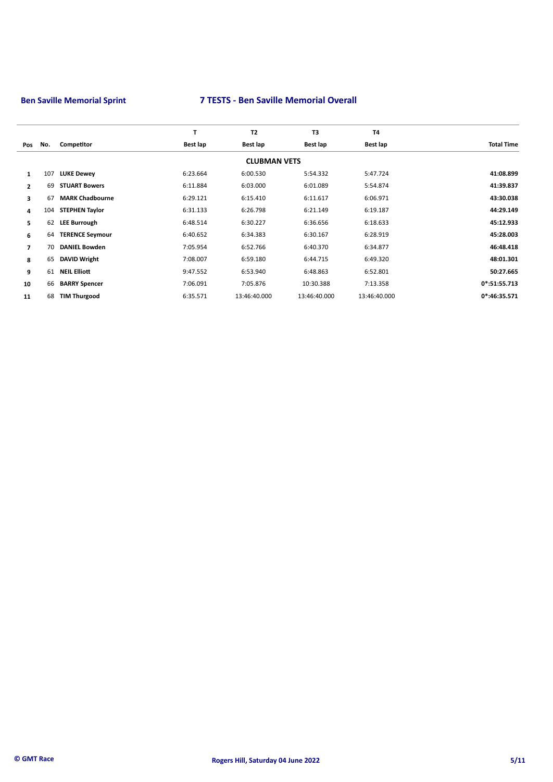|                |     |                        | T        | <b>T2</b>           | T <sub>3</sub> | <b>T4</b>    |                   |
|----------------|-----|------------------------|----------|---------------------|----------------|--------------|-------------------|
| Pos            | No. | Competitor             | Best lap | Best lap            | Best lap       | Best lap     | <b>Total Time</b> |
|                |     |                        |          | <b>CLUBMAN VETS</b> |                |              |                   |
| $\mathbf{1}$   | 107 | <b>LUKE Dewey</b>      | 6:23.664 | 6:00.530            | 5:54.332       | 5:47.724     | 41:08.899         |
| $\overline{2}$ | 69  | <b>STUART Bowers</b>   | 6:11.884 | 6:03.000            | 6:01.089       | 5:54.874     | 41:39.837         |
| 3              | 67  | <b>MARK Chadbourne</b> | 6:29.121 | 6:15.410            | 6:11.617       | 6:06.971     | 43:30.038         |
| 4              | 104 | <b>STEPHEN Taylor</b>  | 6:31.133 | 6:26.798            | 6:21.149       | 6:19.187     | 44:29.149         |
| 5              | 62  | <b>LEE Burrough</b>    | 6:48.514 | 6:30.227            | 6:36.656       | 6:18.633     | 45:12.933         |
| 6              | 64  | <b>TERENCE Seymour</b> | 6:40.652 | 6:34.383            | 6:30.167       | 6:28.919     | 45:28.003         |
| $\overline{ }$ | 70  | <b>DANIEL Bowden</b>   | 7:05.954 | 6:52.766            | 6:40.370       | 6:34.877     | 46:48.418         |
| 8              | 65  | <b>DAVID Wright</b>    | 7:08.007 | 6:59.180            | 6:44.715       | 6:49.320     | 48:01.301         |
| 9              | 61  | <b>NEIL Elliott</b>    | 9:47.552 | 6:53.940            | 6:48.863       | 6:52.801     | 50:27.665         |
| 10             | 66  | <b>BARRY Spencer</b>   | 7:06.091 | 7:05.876            | 10:30.388      | 7:13.358     | $0*:51:55.713$    |
| 11             | 68  | <b>TIM Thurgood</b>    | 6:35.571 | 13:46:40.000        | 13:46:40.000   | 13:46:40.000 | $0*$ :46:35.571   |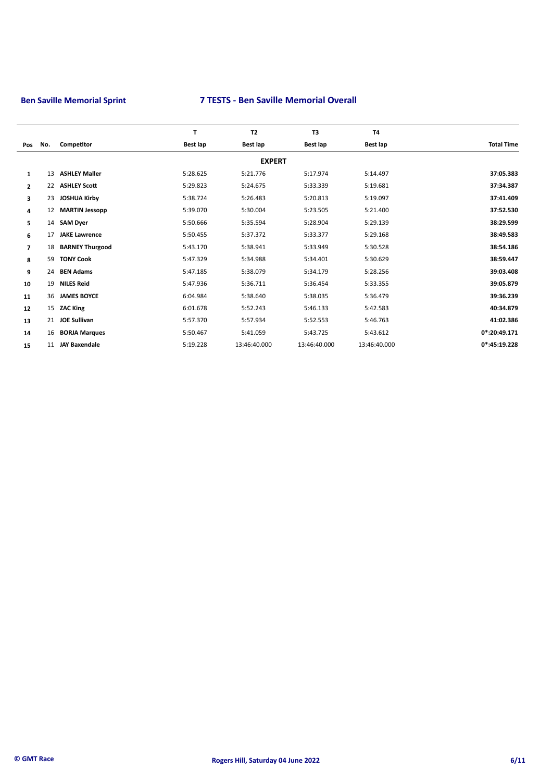|                |     |                        | T        | <b>T2</b>     | T3              | <b>T4</b>       |                   |
|----------------|-----|------------------------|----------|---------------|-----------------|-----------------|-------------------|
| Pos            | No. | Competitor             | Best lap | Best lap      | <b>Best lap</b> | <b>Best lap</b> | <b>Total Time</b> |
|                |     |                        |          | <b>EXPERT</b> |                 |                 |                   |
| $\mathbf{1}$   | 13  | <b>ASHLEY Maller</b>   | 5:28.625 | 5:21.776      | 5:17.974        | 5:14.497        | 37:05.383         |
| $\overline{2}$ | 22  | <b>ASHLEY Scott</b>    | 5:29.823 | 5:24.675      | 5:33.339        | 5:19.681        | 37:34.387         |
| 3              | 23  | <b>JOSHUA Kirby</b>    | 5:38.724 | 5:26.483      | 5:20.813        | 5:19.097        | 37:41.409         |
| 4              | 12  | <b>MARTIN Jessopp</b>  | 5:39.070 | 5:30.004      | 5:23.505        | 5:21.400        | 37:52.530         |
| 5              | 14  | <b>SAM Dyer</b>        | 5:50.666 | 5:35.594      | 5:28.904        | 5:29.139        | 38:29.599         |
| 6              | 17  | <b>JAKE Lawrence</b>   | 5:50.455 | 5:37.372      | 5:33.377        | 5:29.168        | 38:49.583         |
| $\overline{ }$ | 18  | <b>BARNEY Thurgood</b> | 5:43.170 | 5:38.941      | 5:33.949        | 5:30.528        | 38:54.186         |
| 8              | 59  | <b>TONY Cook</b>       | 5:47.329 | 5:34.988      | 5:34.401        | 5:30.629        | 38:59.447         |
| 9              | 24  | <b>BEN Adams</b>       | 5:47.185 | 5:38.079      | 5:34.179        | 5:28.256        | 39:03.408         |
| 10             | 19  | <b>NILES Reid</b>      | 5:47.936 | 5:36.711      | 5:36.454        | 5:33.355        | 39:05.879         |
| 11             | 36  | <b>JAMES BOYCE</b>     | 6:04.984 | 5:38.640      | 5:38.035        | 5:36.479        | 39:36.239         |
| 12             | 15  | <b>ZAC King</b>        | 6:01.678 | 5:52.243      | 5:46.133        | 5:42.583        | 40:34.879         |
| 13             | 21  | <b>JOE Sullivan</b>    | 5:57.370 | 5:57.934      | 5:52.553        | 5:46.763        | 41:02.386         |
| 14             | 16  | <b>BORJA Marques</b>   | 5:50.467 | 5:41.059      | 5:43.725        | 5:43.612        | 0*:20:49.171      |
| 15             | 11  | <b>JAY Baxendale</b>   | 5:19.228 | 13:46:40.000  | 13:46:40.000    | 13:46:40.000    | 0*:45:19.228      |
|                |     |                        |          |               |                 |                 |                   |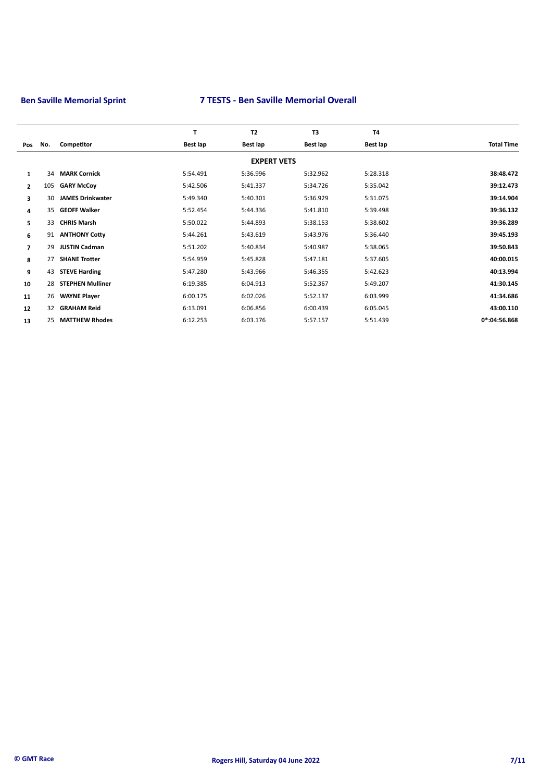|                |     |                         | $\mathbf{T}$ | <b>T2</b>          | T <sub>3</sub> | <b>T4</b> |                   |
|----------------|-----|-------------------------|--------------|--------------------|----------------|-----------|-------------------|
| Pos            | No. | Competitor              | Best lap     | Best lap           | Best lap       | Best lap  | <b>Total Time</b> |
|                |     |                         |              | <b>EXPERT VETS</b> |                |           |                   |
| $\mathbf{1}$   | 34  | <b>MARK Cornick</b>     | 5:54.491     | 5:36.996           | 5:32.962       | 5:28.318  | 38:48.472         |
| $\overline{2}$ | 105 | <b>GARY McCoy</b>       | 5:42.506     | 5:41.337           | 5:34.726       | 5:35.042  | 39:12.473         |
| 3              | 30  | <b>JAMES Drinkwater</b> | 5:49.340     | 5:40.301           | 5:36.929       | 5:31.075  | 39:14.904         |
| 4              | 35  | <b>GEOFF Walker</b>     | 5:52.454     | 5:44.336           | 5:41.810       | 5:39.498  | 39:36.132         |
| 5              | 33  | <b>CHRIS Marsh</b>      | 5:50.022     | 5:44.893           | 5:38.153       | 5:38.602  | 39:36.289         |
| 6              |     | 91 ANTHONY Cotty        | 5:44.261     | 5:43.619           | 5:43.976       | 5:36.440  | 39:45.193         |
| $\overline{ }$ | 29  | <b>JUSTIN Cadman</b>    | 5:51.202     | 5:40.834           | 5:40.987       | 5:38.065  | 39:50.843         |
| 8              | 27  | <b>SHANE Trotter</b>    | 5:54.959     | 5:45.828           | 5:47.181       | 5:37.605  | 40:00.015         |
| 9              | 43  | <b>STEVE Harding</b>    | 5:47.280     | 5:43.966           | 5:46.355       | 5:42.623  | 40:13.994         |
| 10             | 28  | <b>STEPHEN Mulliner</b> | 6:19.385     | 6:04.913           | 5:52.367       | 5:49.207  | 41:30.145         |
| 11             | 26  | <b>WAYNE Player</b>     | 6:00.175     | 6:02.026           | 5:52.137       | 6:03.999  | 41:34.686         |
| 12             | 32  | <b>GRAHAM Reid</b>      | 6:13.091     | 6:06.856           | 6:00.439       | 6:05.045  | 43:00.110         |
| 13             | 25  | <b>MATTHEW Rhodes</b>   | 6:12.253     | 6:03.176           | 5:57.157       | 5:51.439  | $0*$ :04:56.868   |
|                |     |                         |              |                    |                |           |                   |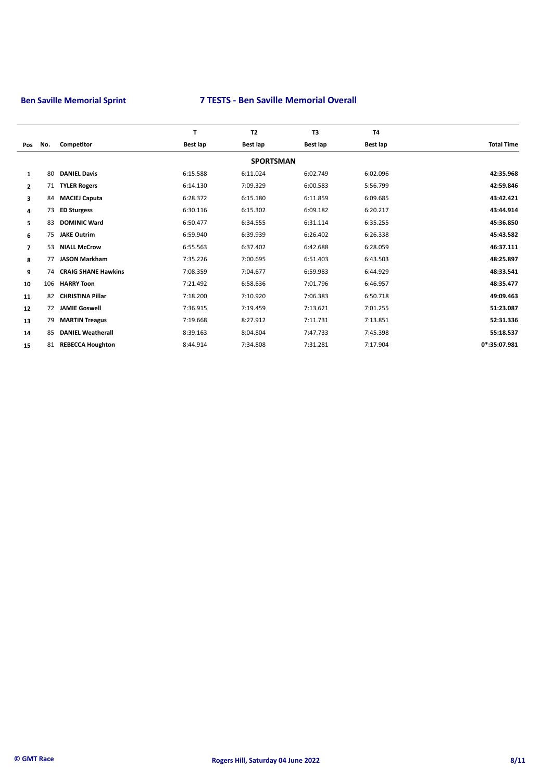|                      |                            | T                       | <b>T2</b>        | T3       | <b>T4</b>       |                   |
|----------------------|----------------------------|-------------------------|------------------|----------|-----------------|-------------------|
| No.<br>Pos           | Competitor                 | Best lap                | Best lap         | Best lap | <b>Best lap</b> | <b>Total Time</b> |
|                      |                            |                         | <b>SPORTSMAN</b> |          |                 |                   |
| 80<br>$\mathbf{1}$   | <b>DANIEL Davis</b>        | 6:15.588                | 6:11.024         | 6:02.749 | 6:02.096        | 42:35.968         |
| $\overline{2}$<br>71 | <b>TYLER Rogers</b>        | 6:14.130                | 7:09.329         | 6:00.583 | 5:56.799        | 42:59.846         |
| 3<br>84              | <b>MACIEJ Caputa</b>       | 6:28.372                | 6:15.180         | 6:11.859 | 6:09.685        | 43:42.421         |
| 73<br>4              | <b>ED Sturgess</b>         | 6:30.116                | 6:15.302         | 6:09.182 | 6:20.217        | 43:44.914         |
| 83<br>5              | <b>DOMINIC Ward</b>        | 6:50.477                | 6:34.555         | 6:31.114 | 6:35.255        | 45:36.850         |
| 75<br>6              | <b>JAKE Outrim</b>         | 6:59.940                | 6:39.939         | 6:26.402 | 6:26.338        | 45:43.582         |
| 53<br>$\overline{ }$ | <b>NIALL McCrow</b>        | 6:55.563                | 6:37.402         | 6:42.688 | 6:28.059        | 46:37.111         |
| 8<br>77              | <b>JASON Markham</b>       | 7:35.226                | 7:00.695         | 6:51.403 | 6:43.503        | 48:25.897         |
| 9<br>74              | <b>CRAIG SHANE Hawkins</b> | 7:08.359                | 7:04.677         | 6:59.983 | 6:44.929        | 48:33.541         |
| 10<br>106            | <b>HARRY Toon</b>          | 7:21.492                | 6:58.636         | 7:01.796 | 6:46.957        | 48:35.477         |
| 82                   | <b>CHRISTINA Pillar</b>    | 7:18.200                | 7:10.920         | 7:06.383 | 6:50.718        | 49:09.463         |
| 12<br>72             | <b>JAMIE Goswell</b>       | 7:36.915                | 7:19.459         | 7:13.621 | 7:01.255        | 51:23.087         |
| 13<br>79             | <b>MARTIN Treagus</b>      | 7:19.668                | 8:27.912         | 7:11.731 | 7:13.851        | 52:31.336         |
| 85<br>14             | <b>DANIEL Weatherall</b>   | 8:39.163                | 8:04.804         | 7:47.733 | 7:45.398        | 55:18.537         |
| 15<br>81             |                            | 8:44.914                | 7:34.808         | 7:31.281 | 7:17.904        | 0*:35:07.981      |
|                      |                            | <b>REBECCA Houghton</b> |                  |          |                 |                   |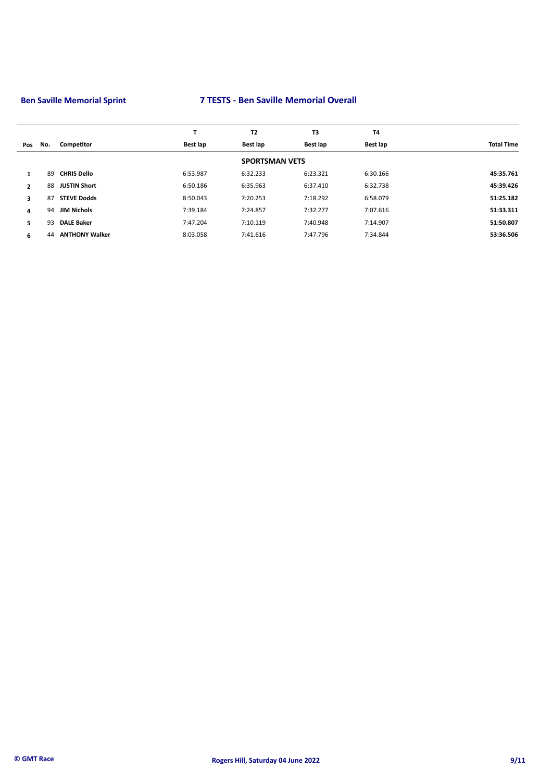|              |     |                       |          | <b>T2</b>             | T3       | T <sub>4</sub> |                   |
|--------------|-----|-----------------------|----------|-----------------------|----------|----------------|-------------------|
| Pos          | No. | Competitor            | Best lap | <b>Best lap</b>       | Best lap | Best lap       | <b>Total Time</b> |
|              |     |                       |          | <b>SPORTSMAN VETS</b> |          |                |                   |
| 1            | 89  | <b>CHRIS Dello</b>    | 6:53.987 | 6:32.233              | 6:23.321 | 6:30.166       | 45:35.761         |
| $\mathbf{2}$ | 88  | <b>JUSTIN Short</b>   | 6:50.186 | 6:35.963              | 6:37.410 | 6:32.738       | 45:39.426         |
| 3            | 87  | <b>STEVE Dodds</b>    | 8:50.043 | 7:20.253              | 7:18.292 | 6:58.079       | 51:25.182         |
| 4            | 94  | <b>JIM Nichols</b>    | 7:39.184 | 7:24.857              | 7:32.277 | 7:07.616       | 51:33.311         |
| 5.           | 93  | <b>DALE Baker</b>     | 7:47.204 | 7:10.119              | 7:40.948 | 7:14.907       | 51:50.807         |
| 6            | 44  | <b>ANTHONY Walker</b> | 8:03.058 | 7:41.616              | 7:47.796 | 7:34.844       | 53:36.506         |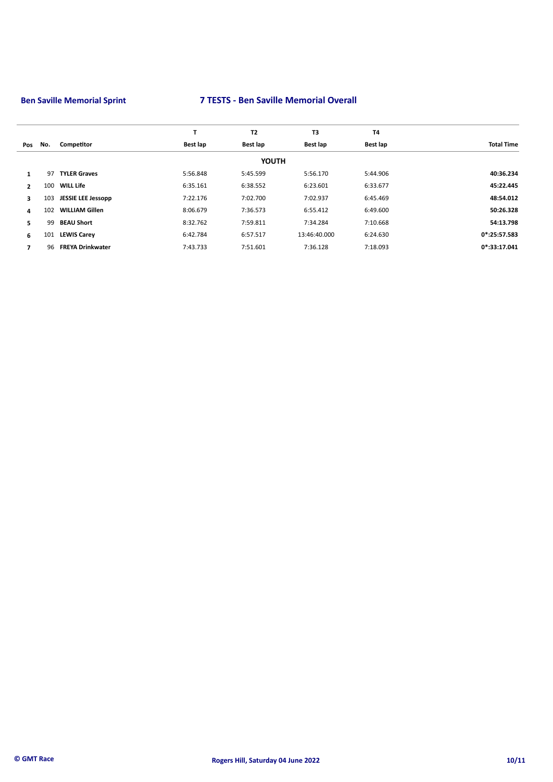|                |     |                           |          | <b>T2</b>    | T3           | <b>T4</b> |                   |
|----------------|-----|---------------------------|----------|--------------|--------------|-----------|-------------------|
| Pos            | No. | Competitor                | Best lap | Best lap     | Best lap     | Best lap  | <b>Total Time</b> |
|                |     |                           |          | <b>YOUTH</b> |              |           |                   |
| $\mathbf{1}$   | 97  | <b>TYLER Graves</b>       | 5:56.848 | 5:45.599     | 5:56.170     | 5:44.906  | 40:36.234         |
| $\overline{2}$ | 100 | WILL Life                 | 6:35.161 | 6:38.552     | 6:23.601     | 6:33.677  | 45:22.445         |
| 3              | 103 | <b>JESSIE LEE Jessopp</b> | 7:22.176 | 7:02.700     | 7:02.937     | 6:45.469  | 48:54.012         |
| 4              | 102 | <b>WILLIAM Gillen</b>     | 8:06.679 | 7:36.573     | 6:55.412     | 6:49.600  | 50:26.328         |
| 5              | 99  | <b>BEAU Short</b>         | 8:32.762 | 7:59.811     | 7:34.284     | 7:10.668  | 54:13.798         |
| 6              | 101 | <b>LEWIS Carey</b>        | 6:42.784 | 6:57.517     | 13:46:40.000 | 6:24.630  | 0*:25:57.583      |
| 7              | 96  | <b>FREYA Drinkwater</b>   | 7:43.733 | 7:51.601     | 7:36.128     | 7:18.093  | 0*:33:17.041      |